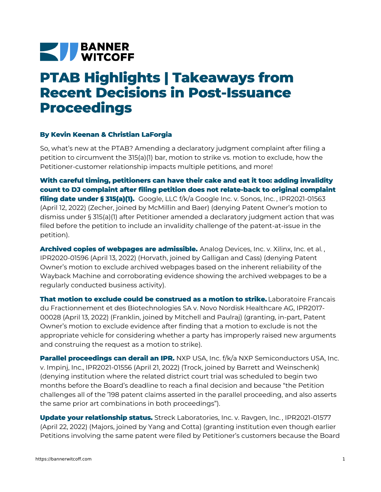## **NEW BANNER**

## **PTAB Highlights | Takeaways from Recent Decisions in Post-Issuance Proceedings**

## **By Kevin Keenan & Christian LaForgia**

So, what's new at the PTAB? Amending a declaratory judgment complaint after filing a petition to circumvent the 315(a)(1) bar, motion to strike vs. motion to exclude, how the Petitioner-customer relationship impacts multiple petitions, and more!

**With careful timing, petitioners can have their cake and eat it too: adding invalidity count to DJ complaint after filing petition does not relate-back to original complaint filing date under § 315(a)(1).** [Google,](https://bannerwitcoff.com/wp-content/uploads/2022/05/IPR2021-01563-Denying-Motion-to-Dismiss.pdf) LLC f/k/a Google Inc. v. Sonos, Inc. , IPR2021-01563 (April 12, 2022) (Zecher, joined by McMillin and Baer) (denying Patent Owner's motion to dismiss under § 315(a)(1) after Petitioner amended a declaratory judgment action that was filed before the petition to include an invalidity challenge of the patent-at-issue in the petition).

**Archived copies of webpages are admissible.** Analog [Devices,](https://bannerwitcoff.com/wp-content/uploads/2022/04/IPR2020-01596.pdf) Inc. v. Xilinx, Inc. et al. , IPR2020-01596 (April 13, 2022) (Horvath, joined by Galligan and Cass) (denying Patent Owner's motion to exclude archived webpages based on the inherent reliability of the Wayback Machine and corroborating evidence showing the archived webpages to be a regularly conducted business activity).

**That motion to exclude could be construed as a motion to strike.** Laboratoire Francais du [Fractionnement](https://bannerwitcoff.com/wp-content/uploads/2022/04/IPR2017-00028.pdf) et des Biotechnologies SA v. Novo Nordisk Healthcare AG, IPR2017- 00028 (April 13, 2022) (Franklin, joined by Mitchell and Paulraj) (granting, in-part, Patent Owner's motion to exclude evidence after finding that a motion to exclude is not the appropriate vehicle for considering whether a party has improperly raised new arguments and construing the request as a motion to strike).

**Parallel proceedings can derail an IPR.** NXP USA, Inc. f/k/a NXP [Semiconductors](https://bannerwitcoff.com/wp-content/uploads/2022/04/IPR2021-01556.pdf) USA, Inc. v. Impinj, Inc., IPR2021-01556 (April 21, 2022) (Trock, joined by Barrett and Weinschenk) (denying institution where the related district court trial was scheduled to begin two months before the Board's deadline to reach a final decision and because "the Petition challenges all of the '198 patent claims asserted in the parallel proceeding, and also asserts the same prior art combinations in both proceedings").

**Update your relationship status.** Streck [Laboratories,](https://bannerwitcoff.com/wp-content/uploads/2022/04/IPR2021-01577.pdf) Inc. v. Ravgen, Inc. , IPR2021-01577 (April 22, 2022) (Majors, joined by Yang and Cotta) (granting institution even though earlier Petitions involving the same patent were filed by Petitioner's customers because the Board